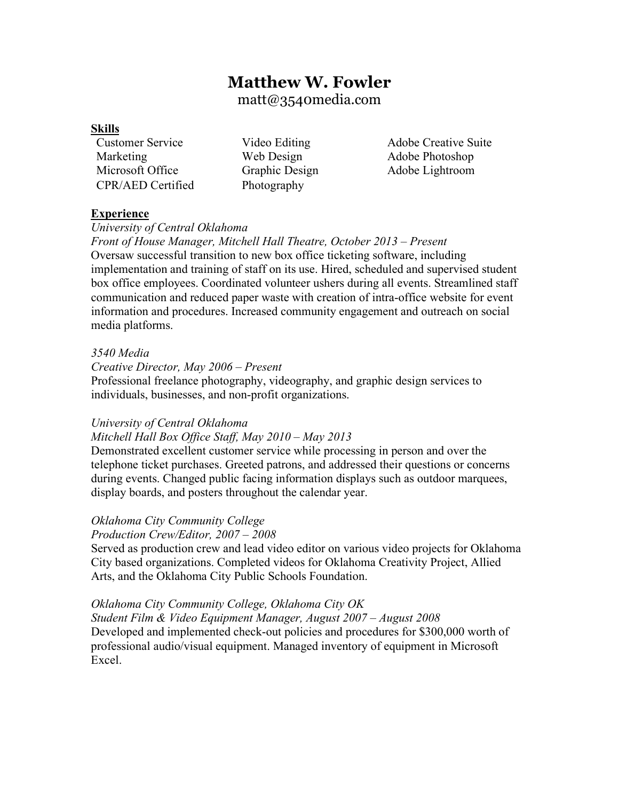# **Matthew W. Fowler**

matt@3540media.com

## **Skills**

Marketing Web Design Adobe Photoshop Microsoft Office Graphic Design Adobe Lightroom CPR/AED Certified Photography

Customer Service Video Editing Adobe Creative Suite

# **Experience**

*University of Central Oklahoma*

*Front of House Manager, Mitchell Hall Theatre, October 2013 – Present* Oversaw successful transition to new box office ticketing software, including implementation and training of staff on its use. Hired, scheduled and supervised student box office employees. Coordinated volunteer ushers during all events. Streamlined staff communication and reduced paper waste with creation of intra-office website for event information and procedures. Increased community engagement and outreach on social media platforms.

## *3540 Media*

*Creative Director, May 2006 – Present*

Professional freelance photography, videography, and graphic design services to individuals, businesses, and non-profit organizations.

## *University of Central Oklahoma*

# *Mitchell Hall Box Office Staff, May 2010 – May 2013*

Demonstrated excellent customer service while processing in person and over the telephone ticket purchases. Greeted patrons, and addressed their questions or concerns during events. Changed public facing information displays such as outdoor marquees, display boards, and posters throughout the calendar year.

# *Oklahoma City Community College*

*Production Crew/Editor, 2007 – 2008*

Served as production crew and lead video editor on various video projects for Oklahoma City based organizations. Completed videos for Oklahoma Creativity Project, Allied Arts, and the Oklahoma City Public Schools Foundation.

# *Oklahoma City Community College, Oklahoma City OK*

*Student Film & Video Equipment Manager, August 2007 – August 2008* Developed and implemented check-out policies and procedures for \$300,000 worth of professional audio/visual equipment. Managed inventory of equipment in Microsoft Excel.